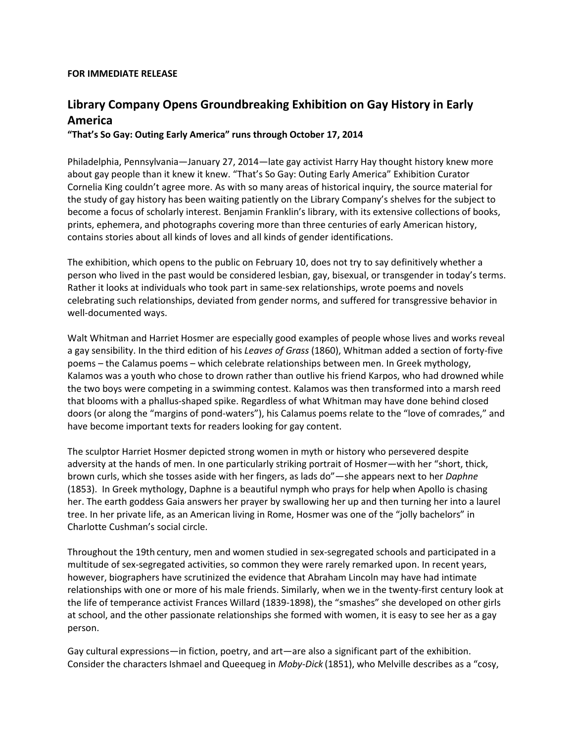## **FOR IMMEDIATE RELEASE**

## **Library Company Opens Groundbreaking Exhibition on Gay History in Early America**

## **"That's So Gay: Outing Early America" runs through October 17, 2014**

Philadelphia, Pennsylvania—January 27, 2014—late gay activist Harry Hay thought history knew more about gay people than it knew it knew. "That's So Gay: Outing Early America" Exhibition Curator Cornelia King couldn't agree more. As with so many areas of historical inquiry, the source material for the study of gay history has been waiting patiently on the Library Company's shelves for the subject to become a focus of scholarly interest. Benjamin Franklin's library, with its extensive collections of books, prints, ephemera, and photographs covering more than three centuries of early American history, contains stories about all kinds of loves and all kinds of gender identifications.

The exhibition, which opens to the public on February 10, does not try to say definitively whether a person who lived in the past would be considered lesbian, gay, bisexual, or transgender in today's terms. Rather it looks at individuals who took part in same-sex relationships, wrote poems and novels celebrating such relationships, deviated from gender norms, and suffered for transgressive behavior in well-documented ways.

Walt Whitman and Harriet Hosmer are especially good examples of people whose lives and works reveal a gay sensibility. In the third edition of his *Leaves of Grass* (1860), Whitman added a section of forty-five poems – the Calamus poems – which celebrate relationships between men. In Greek mythology, Kalamos was a youth who chose to drown rather than outlive his friend Karpos, who had drowned while the two boys were competing in a swimming contest. Kalamos was then transformed into a marsh reed that blooms with a phallus-shaped spike. Regardless of what Whitman may have done behind closed doors (or along the "margins of pond-waters"), his Calamus poems relate to the "love of comrades," and have become important texts for readers looking for gay content.

The sculptor Harriet Hosmer depicted strong women in myth or history who persevered despite adversity at the hands of men. In one particularly striking portrait of Hosmer—with her "short, thick, brown curls, which she tosses aside with her fingers, as lads do"—she appears next to her *Daphne* (1853). In Greek mythology, Daphne is a beautiful nymph who prays for help when Apollo is chasing her. The earth goddess Gaia answers her prayer by swallowing her up and then turning her into a laurel tree. In her private life, as an American living in Rome, Hosmer was one of the "jolly bachelors" in Charlotte Cushman's social circle.

Throughout the 19th century, men and women studied in sex-segregated schools and participated in a multitude of sex-segregated activities, so common they were rarely remarked upon. In recent years, however, biographers have scrutinized the evidence that Abraham Lincoln may have had intimate relationships with one or more of his male friends. Similarly, when we in the twenty-first century look at the life of temperance activist Frances Willard (1839-1898), the "smashes" she developed on other girls at school, and the other passionate relationships she formed with women, it is easy to see her as a gay person.

Gay cultural expressions—in fiction, poetry, and art—are also a significant part of the exhibition. Consider the characters Ishmael and Queequeg in *Moby-Dick* (1851), who Melville describes as a "cosy,